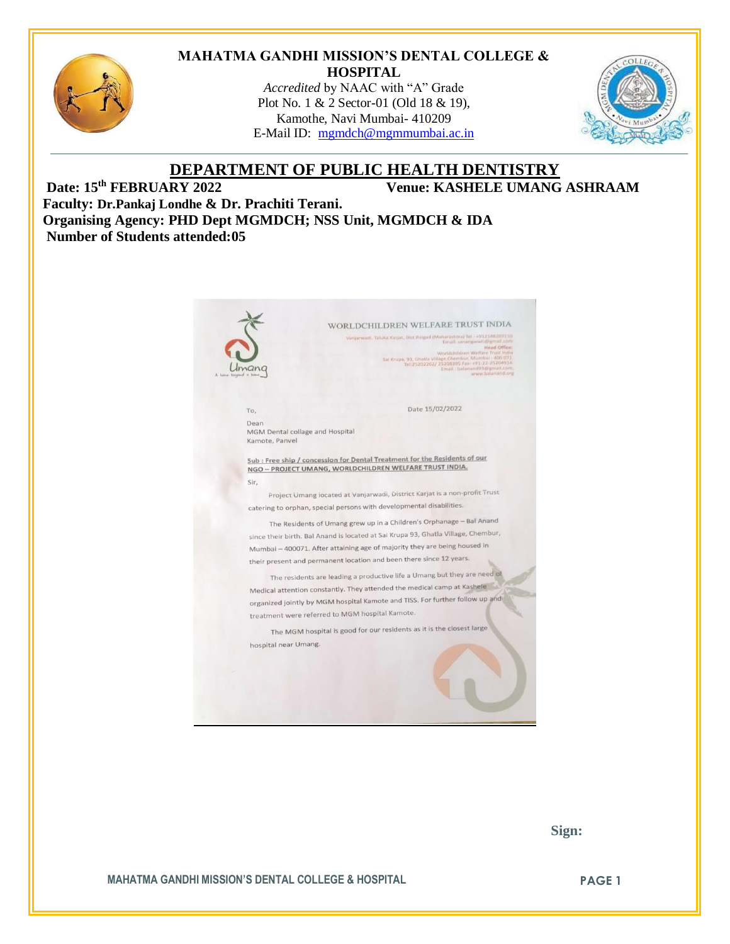

#### **MAHATMA GANDHI MISSION'S DENTAL COLLEGE & HOSPITAL**

*Accredited* by NAAC with "A" Grade Plot No. 1 & 2 Sector-01 (Old 18 & 19), Kamothe, Navi Mumbai- 410209 E-Mail ID: [mgmdch@mgmmumbai.ac.in](mailto:mgmdch@mgmmumbai.ac.in)



# **DEPARTMENT OF PUBLIC HEALTH DENTISTRY**<br>Venue: KASHELE UMANG

 $V$ enue: KASHELE UMANG ASHRAAM

**Faculty: Dr.Pankaj Londhe & Dr. Prachiti Terani. Organising Agency: PHD Dept MGMDCH; NSS Unit, MGMDCH & IDA Number of Students attended:05**

|                                         | WORLDCHILDREN WELFARE TRUST INDIA                                                                                                                                                                                                                                                                                           |
|-----------------------------------------|-----------------------------------------------------------------------------------------------------------------------------------------------------------------------------------------------------------------------------------------------------------------------------------------------------------------------------|
|                                         | Vanjarwadi, Taluka Karjat, Dist Raigad (Maharashtra) Tel +912148203110<br>Email: umangwwti@gmail.com<br>Head Office:<br>Worldchildren Welfare Trust India<br>Sai Krupa, 93, Ghatla Village, Chembur, Mumbal - 400 071.<br>Tel: 25202262/ 25208395 Fax: +91-22-25204914.<br>Email: balanand93@gmail.com,<br>www.balanand.org |
| To.                                     | Date 15/02/2022                                                                                                                                                                                                                                                                                                             |
| Dean<br>MGM Dental collage and Hospital |                                                                                                                                                                                                                                                                                                                             |
| Kamote, Panvel                          |                                                                                                                                                                                                                                                                                                                             |
|                                         | Sub : Free ship / concession for Dental Treatment for the Residents of our<br>NGO - PROJECT UMANG, WORLDCHILDREN WELFARE TRUST INDIA.                                                                                                                                                                                       |
| Sir.                                    |                                                                                                                                                                                                                                                                                                                             |
|                                         | Project Umang iocated at Vanjarwadi, District Karjat is a non-profit Trust                                                                                                                                                                                                                                                  |
|                                         | catering to orphan, special persons with developmental disabilities.                                                                                                                                                                                                                                                        |
|                                         | The Residents of Umang grew up in a Children's Orphanage - Bal Anand                                                                                                                                                                                                                                                        |
|                                         | since their birth. Bal Anand is located at Sai Krupa 93, Ghatla Village, Chembur,                                                                                                                                                                                                                                           |
|                                         | Mumbai - 400071. After attaining age of majority they are being housed in                                                                                                                                                                                                                                                   |
|                                         | their present and permanent location and been there since 12 years.                                                                                                                                                                                                                                                         |
|                                         | The residents are leading a productive life a Umang but they are need of                                                                                                                                                                                                                                                    |
|                                         | Medical attention constantly. They attended the medical camp at Kashele                                                                                                                                                                                                                                                     |
|                                         | organized jointly by MGM hospital Kamote and TISS. For further follow up and                                                                                                                                                                                                                                                |
|                                         | treatment were referred to MGM hospital Kamote.                                                                                                                                                                                                                                                                             |
|                                         | The MGM hospital is good for our residents as it is the closest large                                                                                                                                                                                                                                                       |
| hospital near Umang.                    |                                                                                                                                                                                                                                                                                                                             |
|                                         |                                                                                                                                                                                                                                                                                                                             |
|                                         |                                                                                                                                                                                                                                                                                                                             |
|                                         |                                                                                                                                                                                                                                                                                                                             |
|                                         |                                                                                                                                                                                                                                                                                                                             |

 **Sign:**

**MAHATMA GANDHI MISSION'S DENTAL COLLEGE & HOSPITAL PAGE 1**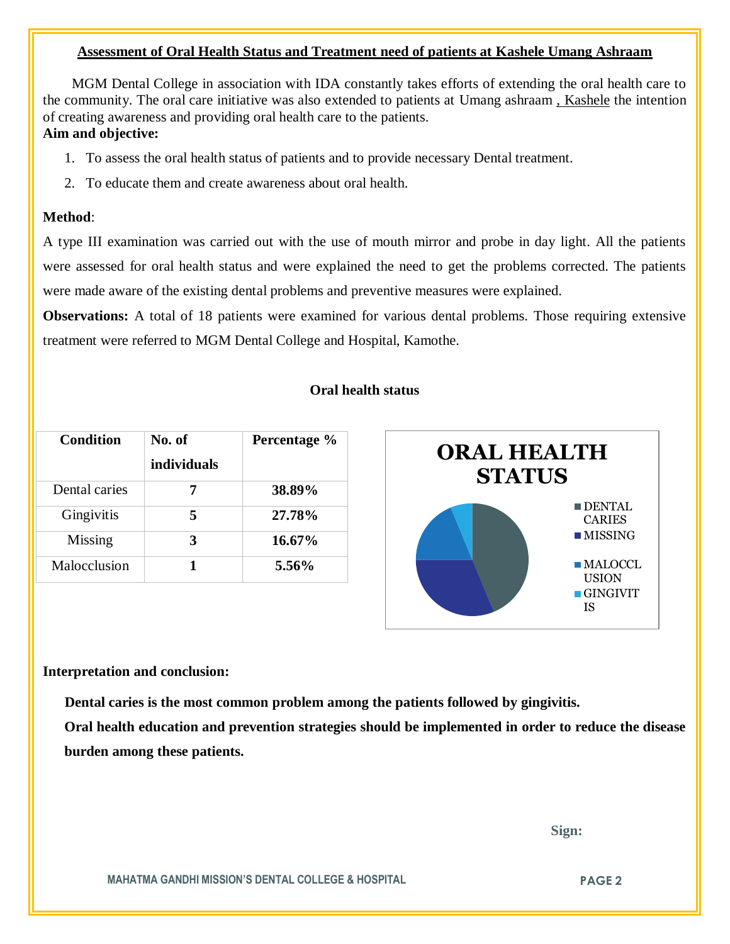## **Assessment of Oral Health Status and Treatment need of patients at Kashele Umang Ashraam**

 MGM Dental College in association with IDA constantly takes efforts of extending the oral health care to the community. The oral care initiative was also extended to patients at Umang ashraam , Kashele the intention of creating awareness and providing oral health care to the patients.

# **Aim and objective:**

- 1. To assess the oral health status of patients and to provide necessary Dental treatment.
- 2. To educate them and create awareness about oral health.

# **Method**:

A type III examination was carried out with the use of mouth mirror and probe in day light. All the patients were assessed for oral health status and were explained the need to get the problems corrected. The patients were made aware of the existing dental problems and preventive measures were explained.

**Observations:** A total of 18 patients were examined for various dental problems. Those requiring extensive treatment were referred to MGM Dental College and Hospital, Kamothe.

## **Oral health status**

| <b>Condition</b> | No. of             | Percentage % |
|------------------|--------------------|--------------|
|                  | <i>individuals</i> |              |
| Dental caries    |                    | 38.89%       |
| Gingivitis       |                    | 27.78%       |
| Missing          | 3                  | 16.67%       |
| Malocclusion     |                    | $5.56\%$     |



## **Interpretation and conclusion:**

 **Dental caries is the most common problem among the patients followed by gingivitis.**

**Oral health education and prevention strategies should be implemented in order to reduce the disease burden among these patients.**

 **Sign:**

**MAHATMA GANDHI MISSION'S DENTAL COLLEGE & HOSPITAL PAGE 2**